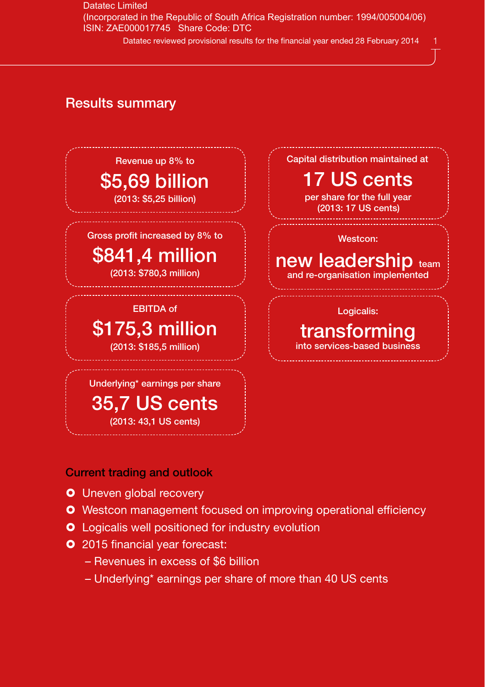Datatec Limited (Incorporated in the Republic of South Africa Registration number: 1994/005004/06) ISIN: ZAE000017745 Share Code: DTC

Datatec reviewed provisional results for the financial year ended 28 February 2014

## Results summary



Current trading and outlook

- **O** Uneven global recovery
- **O** Westcon management focused on improving operational efficiency
- **O** Logicalis well positioned for industry evolution
- **O** 2015 financial year forecast:
	- Revenues in excess of \$6 billion
	- Underlying\* earnings per share of more than 40 US cents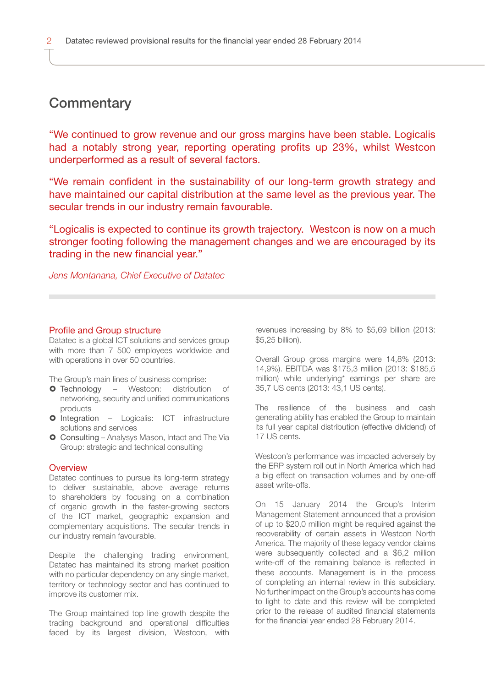# **Commentary**

"We continued to grow revenue and our gross margins have been stable. Logicalis had a notably strong year, reporting operating profits up 23%, whilst Westcon underperformed as a result of several factors.

"We remain confident in the sustainability of our long-term growth strategy and have maintained our capital distribution at the same level as the previous year. The secular trends in our industry remain favourable.

"Logicalis is expected to continue its growth trajectory. Westcon is now on a much stronger footing following the management changes and we are encouraged by its trading in the new financial year."

*Jens Montanana, Chief Executive of Datatec*

### Profile and Group structure

Datatec is a global ICT solutions and services group with more than 7 500 employees worldwide and with operations in over 50 countries.

The Group's main lines of business comprise:

- **O** Technology Westcon: distribution of networking, security and unified communications products
- **O** Integration Logicalis: ICT infrastructure solutions and services
- Consulting Analysys Mason, Intact and The Via Group: strategic and technical consulting

### **Overview**

Datatec continues to pursue its long-term strategy to deliver sustainable, above average returns to shareholders by focusing on a combination of organic growth in the faster-growing sectors of the ICT market, geographic expansion and complementary acquisitions. The secular trends in our industry remain favourable.

Despite the challenging trading environment, Datatec has maintained its strong market position with no particular dependency on any single market. territory or technology sector and has continued to improve its customer mix.

The Group maintained top line growth despite the trading background and operational difficulties faced by its largest division, Westcon, with

revenues increasing by 8% to \$5,69 billion (2013: \$5,25 billion).

Overall Group gross margins were 14,8% (2013: 14,9%). EBITDA was \$175,3 million (2013: \$185,5 million) while underlying\* earnings per share are 35,7 US cents (2013: 43,1 US cents).

The resilience of the business and cash generating ability has enabled the Group to maintain its full year capital distribution (effective dividend) of 17 US cents.

Westcon's performance was impacted adversely by the ERP system roll out in North America which had a big effect on transaction volumes and by one-off asset write-offs.

On 15 January 2014 the Group's Interim Management Statement announced that a provision of up to \$20,0 million might be required against the recoverability of certain assets in Westcon North America. The majority of these legacy vendor claims were subsequently collected and a \$6,2 million write-off of the remaining balance is reflected in these accounts. Management is in the process of completing an internal review in this subsidiary. No further impact on the Group's accounts has come to light to date and this review will be completed prior to the release of audited financial statements for the financial year ended 28 February 2014.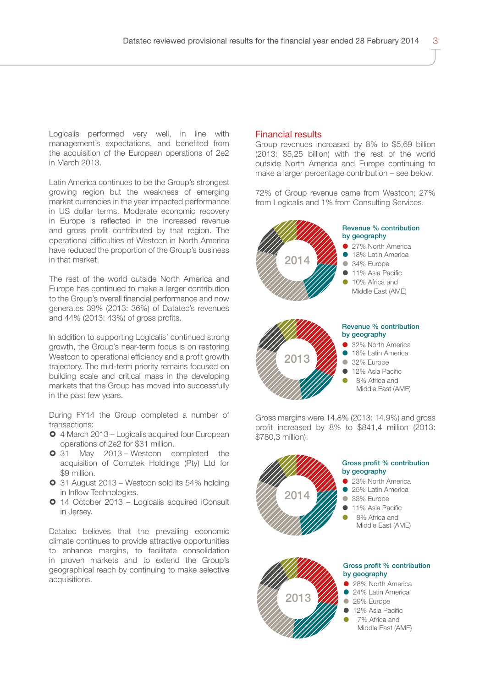Logicalis performed very well, in line with management's expectations, and benefited from the acquisition of the European operations of 2e2 in March 2013.

Latin America continues to be the Group's strongest growing region but the weakness of emerging market currencies in the year impacted performance in US dollar terms. Moderate economic recovery in Europe is reflected in the increased revenue and gross profit contributed by that region. The operational difficulties of Westcon in North America have reduced the proportion of the Group's business in that market.

The rest of the world outside North America and Europe has continued to make a larger contribution to the Group's overall financial performance and now generates 39% (2013: 36%) of Datatec's revenues and 44% (2013: 43%) of gross profits.

In addition to supporting Logicalis' continued strong growth, the Group's near-term focus is on restoring Westcon to operational efficiency and a profit growth trajectory. The mid-term priority remains focused on building scale and critical mass in the developing markets that the Group has moved into successfully in the past few years.

During FY14 the Group completed a number of transactions:

- 4 March 2013 Logicalis acquired four European operations of 2e2 for \$31 million.
- **0** 31 May 2013 Westcon completed the acquisition of Comztek Holdings (Pty) Ltd for \$9 million.
- 31 August 2013 Westcon sold its 54% holding in Inflow Technologies.
- 14 October 2013 Logicalis acquired iConsult in Jersey.

Datatec believes that the prevailing economic climate continues to provide attractive opportunities to enhance margins, to facilitate consolidation in proven markets and to extend the Group's geographical reach by continuing to make selective acquisitions.

### Financial results

Group revenues increased by 8% to \$5,69 billion (2013: \$5,25 billion) with the rest of the world outside North America and Europe continuing to make a larger percentage contribution – see below.

72% of Group revenue came from Westcon; 27% from Logicalis and 1% from Consulting Services.



Gross margins were 14,8% (2013: 14,9%) and gross profit increased by 8% to \$841,4 million (2013: \$780,3 million).



2013

- 24% Latin America
- 29% Europe
- **12% Asia Pacific**
- 7% Africa and
- - Middle East (AME)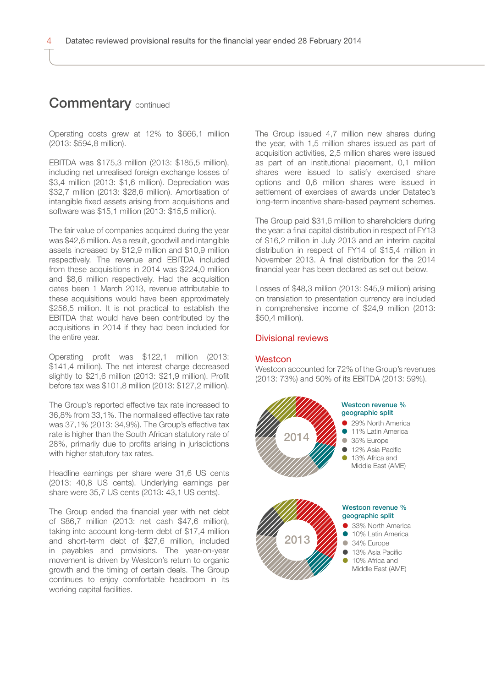## **Commentary continued**

Operating costs grew at 12% to \$666,1 million (2013: \$594,8 million).

EBITDA was \$175,3 million (2013: \$185,5 million), including net unrealised foreign exchange losses of \$3,4 million (2013: \$1,6 million). Depreciation was \$32,7 million (2013: \$28,6 million). Amortisation of intangible fixed assets arising from acquisitions and software was \$15,1 million (2013: \$15,5 million).

The fair value of companies acquired during the year was \$42,6 million. As a result, goodwill and intangible assets increased by \$12,9 million and \$10,9 million respectively. The revenue and EBITDA included from these acquisitions in 2014 was \$224,0 million and \$8,6 million respectively. Had the acquisition dates been 1 March 2013, revenue attributable to these acquisitions would have been approximately \$256,5 million. It is not practical to establish the EBITDA that would have been contributed by the acquisitions in 2014 if they had been included for the entire year.

Operating profit was \$122,1 million (2013: \$141,4 million). The net interest charge decreased slightly to \$21,6 million (2013: \$21,9 million). Profit before tax was \$101,8 million (2013: \$127,2 million).

The Group's reported effective tax rate increased to 36,8% from 33,1%. The normalised effective tax rate was 37,1% (2013: 34,9%). The Group's effective tax rate is higher than the South African statutory rate of 28%, primarily due to profits arising in jurisdictions with higher statutory tax rates.

Headline earnings per share were 31,6 US cents (2013: 40,8 US cents). Underlying earnings per share were 35,7 US cents (2013: 43,1 US cents).

The Group ended the financial year with net debt of \$86,7 million (2013: net cash \$47,6 million), taking into account long-term debt of \$17,4 million and short-term debt of \$27,6 million, included in payables and provisions. The year-on-year movement is driven by Westcon's return to organic growth and the timing of certain deals. The Group continues to enjoy comfortable headroom in its working capital facilities.

The Group issued 4,7 million new shares during the year, with 1,5 million shares issued as part of acquisition activities, 2,5 million shares were issued as part of an institutional placement, 0,1 million shares were issued to satisfy exercised share options and 0,6 million shares were issued in settlement of exercises of awards under Datatec's long-term incentive share-based payment schemes.

The Group paid \$31,6 million to shareholders during the year: a final capital distribution in respect of FY13 of \$16,2 million in July 2013 and an interim capital distribution in respect of FY14 of \$15,4 million in November 2013. A final distribution for the 2014 financial year has been declared as set out below.

Losses of \$48,3 million (2013: \$45,9 million) arising on translation to presentation currency are included in comprehensive income of \$24,9 million (2013: \$50,4 million).

### Divisional reviews

#### **Westcon**

Westcon accounted for 72% of the Group's revenues (2013: 73%) and 50% of its EBITDA (2013: 59%).



#### Westcon revenue % geographic split

- 29% North America 11% Latin America
- 35% Europe
- 12% Asia Pacific
- 13% Africa and Middle Fast (AMF)



#### Westcon revenue % geographic split

- 33% North America
- 10% Latin America
- 34% Europe
- $\bullet$  13% Asia Pacific
- **10% Africa and** Middle East (AME)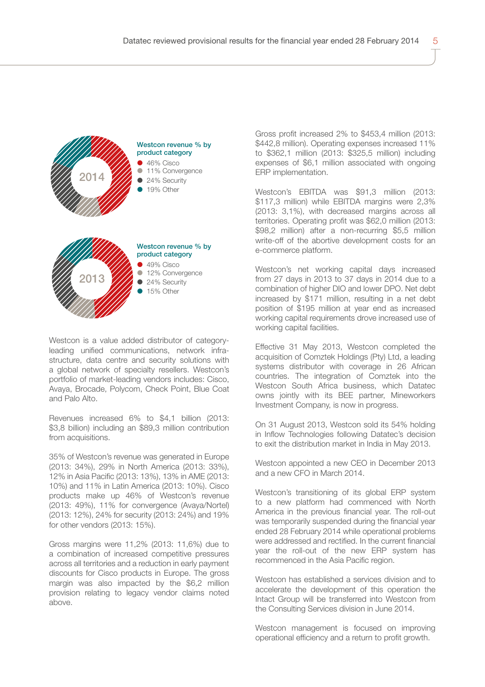

Westcon is a value added distributor of categoryleading unified communications, network infrastructure, data centre and security solutions with a global network of specialty resellers. Westcon's portfolio of market-leading vendors includes: Cisco, Avaya, Brocade, Polycom, Check Point, Blue Coat and Palo Alto.

Revenues increased 6% to \$4,1 billion (2013: \$3,8 billion) including an \$89,3 million contribution from acquisitions.

35% of Westcon's revenue was generated in Europe (2013: 34%), 29% in North America (2013: 33%), 12% in Asia Pacific (2013: 13%), 13% in AME (2013: 10%) and 11% in Latin America (2013: 10%). Cisco products make up 46% of Westcon's revenue (2013: 49%), 11% for convergence (Avaya/Nortel) (2013: 12%), 24% for security (2013: 24%) and 19% for other vendors (2013: 15%).

Gross margins were 11,2% (2013: 11,6%) due to a combination of increased competitive pressures across all territories and a reduction in early payment discounts for Cisco products in Europe. The gross margin was also impacted by the \$6,2 million provision relating to legacy vendor claims noted above.

Gross profit increased 2% to \$453,4 million (2013: \$442,8 million). Operating expenses increased 11% to \$362,1 million (2013: \$325,5 million) including expenses of \$6,1 million associated with ongoing ERP implementation.

Westcon's EBITDA was \$91,3 million (2013: \$117,3 million) while EBITDA margins were 2,3% (2013: 3,1%), with decreased margins across all territories. Operating profit was \$62,0 million (2013: \$98,2 million) after a non-recurring \$5,5 million write-off of the abortive development costs for an e-commerce platform.

Westcon's net working capital days increased from 27 days in 2013 to 37 days in 2014 due to a combination of higher DIO and lower DPO. Net debt increased by \$171 million, resulting in a net debt position of \$195 million at year end as increased working capital requirements drove increased use of working capital facilities.

Effective 31 May 2013, Westcon completed the acquisition of Comztek Holdings (Pty) Ltd, a leading systems distributor with coverage in 26 African countries. The integration of Comztek into the Westcon South Africa business, which Datatec owns jointly with its BEE partner, Mineworkers Investment Company, is now in progress.

On 31 August 2013, Westcon sold its 54% holding in Inflow Technologies following Datatec's decision to exit the distribution market in India in May 2013.

Westcon appointed a new CEO in December 2013 and a new CFO in March 2014.

Westcon's transitioning of its global ERP system to a new platform had commenced with North America in the previous financial year. The roll-out was temporarily suspended during the financial year ended 28 February 2014 while operational problems were addressed and rectified. In the current financial year the roll-out of the new ERP system has recommenced in the Asia Pacific region.

Westcon has established a services division and to accelerate the development of this operation the Intact Group will be transferred into Westcon from the Consulting Services division in June 2014.

Westcon management is focused on improving operational efficiency and a return to profit growth.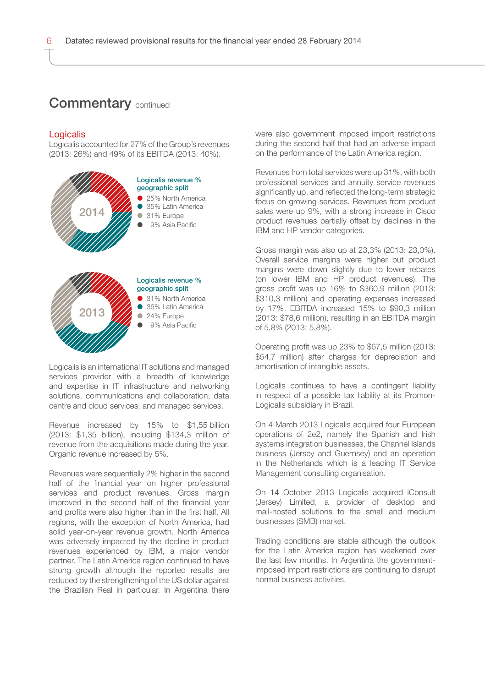### **Commentary continued**

#### Logicalis

Logicalis accounted for 27% of the Group's revenues (2013: 26%) and 49% of its EBITDA (2013: 40%).



Logicalis is an international IT solutions and managed services provider with a breadth of knowledge and expertise in IT infrastructure and networking solutions, communications and collaboration, data centre and cloud services, and managed services.

Revenue increased by 15% to \$1,55 billion (2013: \$1,35 billion), including \$134,3 million of revenue from the acquisitions made during the year. Organic revenue increased by 5%.

Revenues were sequentially 2% higher in the second half of the financial year on higher professional services and product revenues. Gross margin improved in the second half of the financial year and profits were also higher than in the first half. All regions, with the exception of North America, had solid year-on-year revenue growth. North America was adversely impacted by the decline in product revenues experienced by IBM, a major vendor partner. The Latin America region continued to have strong growth although the reported results are reduced by the strengthening of the US dollar against the Brazilian Real in particular. In Argentina there

were also government imposed import restrictions during the second half that had an adverse impact on the performance of the Latin America region.

Revenues from total services were up 31%, with both professional services and annuity service revenues significantly up, and reflected the long-term strategic focus on growing services. Revenues from product sales were up 9%, with a strong increase in Cisco product revenues partially offset by declines in the IBM and HP vendor categories.

Gross margin was also up at 23,3% (2013: 23,0%). Overall service margins were higher but product margins were down slightly due to lower rebates (on lower IBM and HP product revenues). The gross profit was up 16% to \$360,9 million (2013: \$310,3 million) and operating expenses increased by 17%. EBITDA increased 15% to \$90,3 million (2013: \$78,6 million), resulting in an EBITDA margin of 5,8% (2013: 5,8%).

Operating profit was up 23% to \$67,5 million (2013: \$54.7 million) after charges for depreciation and amortisation of intangible assets.

Logicalis continues to have a contingent liability in respect of a possible tax liability at its Promon-Logicalis subsidiary in Brazil.

On 4 March 2013 Logicalis acquired four European operations of 2e2, namely the Spanish and Irish systems integration businesses, the Channel Islands business (Jersey and Guernsey) and an operation in the Netherlands which is a leading IT Service Management consulting organisation.

On 14 October 2013 Logicalis acquired iConsult (Jersey) Limited, a provider of desktop and mail-hosted solutions to the small and medium businesses (SMB) market.

Trading conditions are stable although the outlook for the Latin America region has weakened over the last few months. In Argentina the governmentimposed import restrictions are continuing to disrupt normal business activities.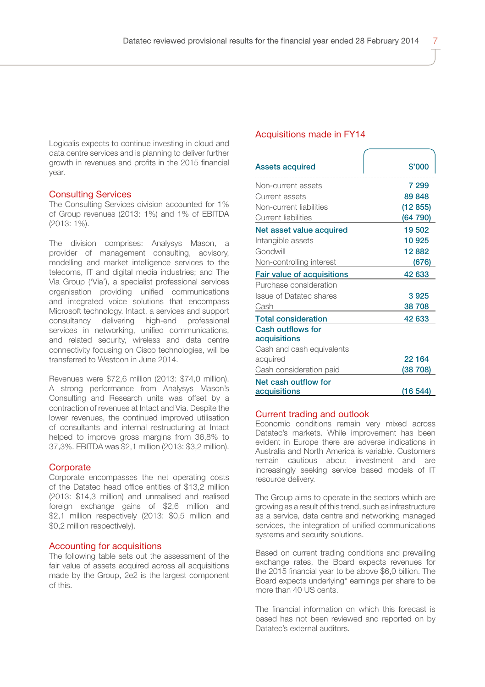Logicalis expects to continue investing in cloud and data centre services and is planning to deliver further growth in revenues and profits in the 2015 financial year.

### Consulting Services

The Consulting Services division accounted for 1% of Group revenues (2013: 1%) and 1% of EBITDA (2013: 1%).

The division comprises: Analysys Mason, a provider of management consulting, advisory, modelling and market intelligence services to the telecoms, IT and digital media industries; and The Via Group ('Via'), a specialist professional services organisation providing unified communications and integrated voice solutions that encompass Microsoft technology. Intact, a services and support consultancy delivering high-end professional services in networking, unified communications, and related security, wireless and data centre connectivity focusing on Cisco technologies, will be transferred to Westcon in June 2014.

Revenues were \$72,6 million (2013: \$74,0 million). A strong performance from Analysys Mason's Consulting and Research units was offset by a contraction of revenues at Intact and Via. Despite the lower revenues, the continued improved utilisation of consultants and internal restructuring at Intact helped to improve gross margins from 36,8% to 37,3%. EBITDA was \$2,1 million (2013: \$3,2 million).

#### **Corporate**

Corporate encompasses the net operating costs of the Datatec head office entities of \$13,2 million (2013: \$14,3 million) and unrealised and realised foreign exchange gains of \$2,6 million and \$2,1 million respectively (2013: \$0,5 million and \$0,2 million respectively).

### Accounting for acquisitions

The following table sets out the assessment of the fair value of assets acquired across all acquisitions made by the Group, 2e2 is the largest component of this.

### Acquisitions made in FY14

| <b>Assets acquired</b>            | \$'000   |
|-----------------------------------|----------|
| Non-current assets                | 7 299    |
| Current assets                    | 89848    |
| Non-current liabilities           | (12855)  |
| Current liabilities               | (64790)  |
| Net asset value acquired          | 19502    |
| Intangible assets                 | 10925    |
| Goodwill                          | 12882    |
| Non-controlling interest          | (676)    |
| <b>Fair value of acquisitions</b> | 42 633   |
| Purchase consideration            |          |
| Issue of Datatec shares           | 3925     |
| Cash                              | 38708    |
| <b>Total consideration</b>        | 42 633   |
| Cash outflows for<br>acquisitions |          |
| Cash and cash equivalents         |          |
| acquired                          | 22 1 64  |
| Cash consideration paid           | (38 708) |
| Net cash outflow for              |          |
| acquisitions                      | (16 544) |

#### Current trading and outlook

Economic conditions remain very mixed across Datatec's markets. While improvement has been evident in Europe there are adverse indications in Australia and North America is variable. Customers remain cautious about investment and are increasingly seeking service based models of IT resource delivery.

The Group aims to operate in the sectors which are growing as a result of this trend, such as infrastructure as a service, data centre and networking managed services, the integration of unified communications systems and security solutions.

Based on current trading conditions and prevailing exchange rates, the Board expects revenues for the 2015 financial year to be above \$6,0 billion. The Board expects underlying\* earnings per share to be more than 40 US cents.

The financial information on which this forecast is based has not been reviewed and reported on by Datatec's external auditors.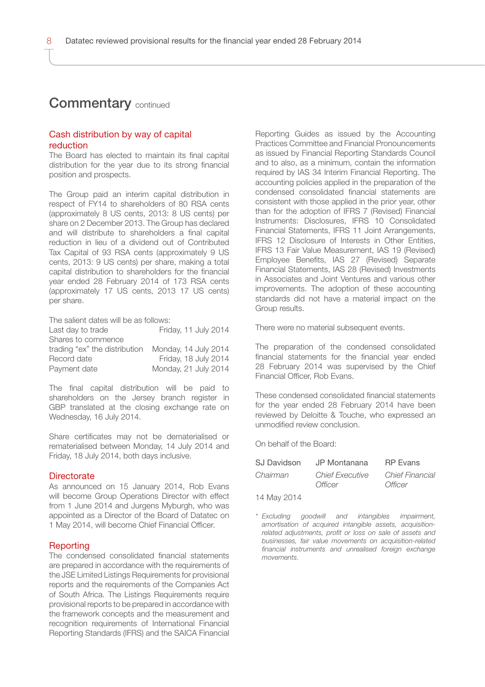### **Commentary continued**

### Cash distribution by way of capital reduction

The Board has elected to maintain its final capital distribution for the year due to its strong financial position and prospects.

The Group paid an interim capital distribution in respect of FY14 to shareholders of 80 RSA cents (approximately 8 US cents, 2013: 8 US cents) per share on 2 December 2013. The Group has declared and will distribute to shareholders a final capital reduction in lieu of a dividend out of Contributed Tax Capital of 93 RSA cents (approximately 9 US cents, 2013: 9 US cents) per share, making a total capital distribution to shareholders for the financial year ended 28 February 2014 of 173 RSA cents (approximately 17 US cents, 2013 17 US cents) per share.

The salient dates will be as follows:

| Last day to trade             | Friday, 11 July 2014 |
|-------------------------------|----------------------|
| Shares to commence            |                      |
| trading "ex" the distribution | Monday, 14 July 2014 |
| Record date                   | Friday, 18 July 2014 |
| Payment date                  | Monday, 21 July 2014 |

The final capital distribution will be paid to shareholders on the Jersey branch register in GBP translated at the closing exchange rate on Wednesday, 16 July 2014.

Share certificates may not be dematerialised or rematerialised between Monday, 14 July 2014 and Friday, 18 July 2014, both days inclusive.

#### **Directorate**

As announced on 15 January 2014, Rob Evans will become Group Operations Director with effect from 1 June 2014 and Jurgens Myburgh, who was appointed as a Director of the Board of Datatec on 1 May 2014, will become Chief Financial Officer.

### Reporting

The condensed consolidated financial statements are prepared in accordance with the requirements of the JSE Limited Listings Requirements for provisional reports and the requirements of the Companies Act of South Africa. The Listings Requirements require provisional reports to be prepared in accordance with the framework concepts and the measurement and recognition requirements of International Financial Reporting Standards (IFRS) and the SAICA Financial

Reporting Guides as issued by the Accounting Practices Committee and Financial Pronouncements as issued by Financial Reporting Standards Council and to also, as a minimum, contain the information required by IAS 34 Interim Financial Reporting. The accounting policies applied in the preparation of the condensed consolidated financial statements are consistent with those applied in the prior year, other than for the adoption of IFRS 7 (Revised) Financial Instruments: Disclosures, IFRS 10 Consolidated Financial Statements, IFRS 11 Joint Arrangements, IFRS 12 Disclosure of Interests in Other Entities, IFRS 13 Fair Value Measurement, IAS 19 (Revised) Employee Benefits, IAS 27 (Revised) Separate Financial Statements, IAS 28 (Revised) Investments in Associates and Joint Ventures and various other improvements. The adoption of these accounting standards did not have a material impact on the Group results.

There were no material subsequent events.

The preparation of the condensed consolidated financial statements for the financial year ended 28 February 2014 was supervised by the Chief Financial Officer, Rob Evans.

These condensed consolidated financial statements for the year ended 28 February 2014 have been reviewed by Deloitte & Touche, who expressed an unmodified review conclusion.

On behalf of the Board:

| SJ Davidson<br>JP Montanana | <b>RP</b> Evans                                             |  |
|-----------------------------|-------------------------------------------------------------|--|
| Chairman<br>Officer         | <b>Chief Financial</b><br><b>Chief Executive</b><br>Officer |  |

14 May 2014

*\* Excluding goodwill and intangibles impairment, amortisation of acquired intangible assets, acquisitionrelated adjustments, profit or loss on sale of assets and businesses, fair value movements on acquisition-related financial instruments and unrealised foreign exchange movements.*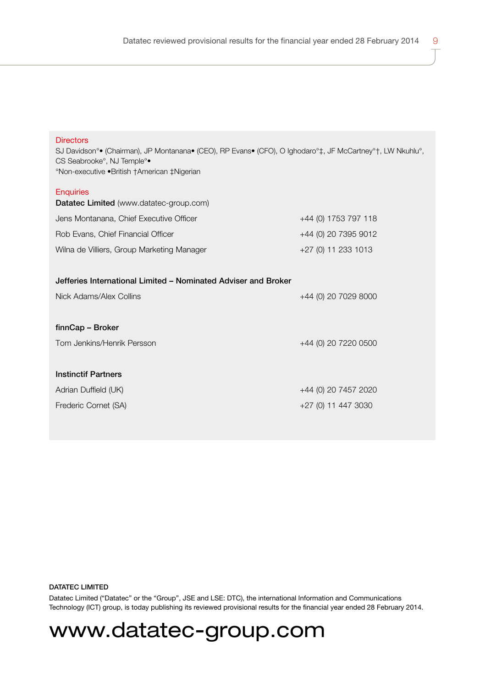| טוו סטוען<br>SJ Davidson <sup>o</sup> (Chairman), JP Montanana (CEO), RP Evans (CFO), O Ighodaro <sup>o</sup> ‡, JF McCartney <sup>o</sup> †, LW Nkuhlu <sup>o</sup> ,<br>CS Seabrooke <sup>°</sup> , NJ Temple <sup>°•</sup><br>°Non-executive .British †American ‡Nigerian |                      |
|------------------------------------------------------------------------------------------------------------------------------------------------------------------------------------------------------------------------------------------------------------------------------|----------------------|
| <b>Enquiries</b><br>Datatec Limited (www.datatec-group.com)                                                                                                                                                                                                                  |                      |
| Jens Montanana, Chief Executive Officer                                                                                                                                                                                                                                      | +44 (0) 1753 797 118 |
| Rob Evans, Chief Financial Officer                                                                                                                                                                                                                                           | +44 (0) 20 7395 9012 |
| Wilna de Villiers, Group Marketing Manager                                                                                                                                                                                                                                   | +27 (0) 11 233 1013  |
| Jefferies International Limited - Nominated Adviser and Broker<br>Nick Adams/Alex Collins                                                                                                                                                                                    | +44 (0) 20 7029 8000 |
| finnCap - Broker                                                                                                                                                                                                                                                             |                      |
| Tom Jenkins/Henrik Persson                                                                                                                                                                                                                                                   | +44 (0) 20 7220 0500 |
|                                                                                                                                                                                                                                                                              |                      |
| <b>Instinctif Partners</b>                                                                                                                                                                                                                                                   |                      |
| Adrian Duffield (UK)                                                                                                                                                                                                                                                         | +44 (0) 20 7457 2020 |
| Frederic Cornet (SA)                                                                                                                                                                                                                                                         | +27 (0) 11 447 3030  |

### DATATEC LIMITED

Directors

Datatec Limited ("Datatec" or the "Group", JSE and LSE: DTC), the international Information and Communications Technology (ICT) group, is today publishing its reviewed provisional results for the financial year ended 28 February 2014.

# www.datatec-group.com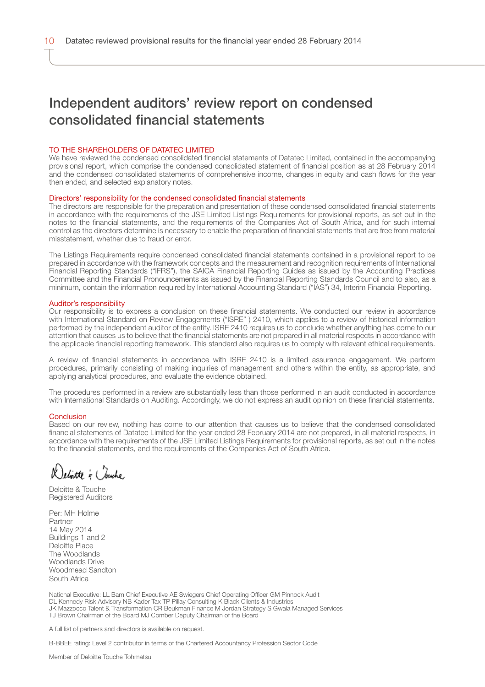# Independent auditors' review report on condensed consolidated financial statements

#### TO THE SHAREHOLDERS OF DATATEC LIMITED

We have reviewed the condensed consolidated financial statements of Datatec Limited, contained in the accompanying provisional report, which comprise the condensed consolidated statement of financial position as at 28 February 2014 and the condensed consolidated statements of comprehensive income, changes in equity and cash flows for the year then ended, and selected explanatory notes.

#### Directors' responsibility for the condensed consolidated financial statements

The directors are responsible for the preparation and presentation of these condensed consolidated financial statements in accordance with the requirements of the JSE Limited Listings Requirements for provisional reports, as set out in the notes to the financial statements, and the requirements of the Companies Act of South Africa, and for such internal control as the directors determine is necessary to enable the preparation of financial statements that are free from material misstatement, whether due to fraud or error.

The Listings Requirements require condensed consolidated financial statements contained in a provisional report to be prepared in accordance with the framework concepts and the measurement and recognition requirements of International Financial Reporting Standards ("IFRS"), the SAICA Financial Reporting Guides as issued by the Accounting Practices Committee and the Financial Pronouncements as issued by the Financial Reporting Standards Council and to also, as a minimum, contain the information required by International Accounting Standard ("IAS") 34, Interim Financial Reporting.

#### Auditor's responsibility

Our responsibility is to express a conclusion on these financial statements. We conducted our review in accordance with International Standard on Review Engagements ("ISRE" ) 2410, which applies to a review of historical information performed by the independent auditor of the entity. ISRE 2410 requires us to conclude whether anything has come to our attention that causes us to believe that the financial statements are not prepared in all material respects in accordance with the applicable financial reporting framework. This standard also requires us to comply with relevant ethical requirements.

A review of financial statements in accordance with ISRE 2410 is a limited assurance engagement. We perform procedures, primarily consisting of making inquiries of management and others within the entity, as appropriate, and applying analytical procedures, and evaluate the evidence obtained.

The procedures performed in a review are substantially less than those performed in an audit conducted in accordance with International Standards on Auditing. Accordingly, we do not express an audit opinion on these financial statements.

#### Conclusion

Based on our review, nothing has come to our attention that causes us to believe that the condensed consolidated financial statements of Datatec Limited for the year ended 28 February 2014 are not prepared, in all material respects, in accordance with the requirements of the JSE Limited Listings Requirements for provisional reports, as set out in the notes to the financial statements, and the requirements of the Companies Act of South Africa.

lebotte = Couche

Deloitte & Touche Registered Auditors

Per: MH Holme Partner 14 May 2014 Buildings 1 and 2 Deloitte Place The Woodlands Woodlands Drive Woodmead Sandton South Africa

National Executive: LL Bam Chief Executive AE Swiegers Chief Operating Officer GM Pinnock Audit DL Kennedy Risk Advisory NB Kader Tax TP Pillay Consulting K Black Clients & Industries JK Mazzocco Talent & Transformation CR Beukman Finance M Jordan Strategy S Gwala Managed Services TJ Brown Chairman of the Board MJ Comber Deputy Chairman of the Board

A full list of partners and directors is available on request.

B-BBEE rating: Level 2 contributor in terms of the Chartered Accountancy Profession Sector Code

Member of Deloitte Touche Tohmatsu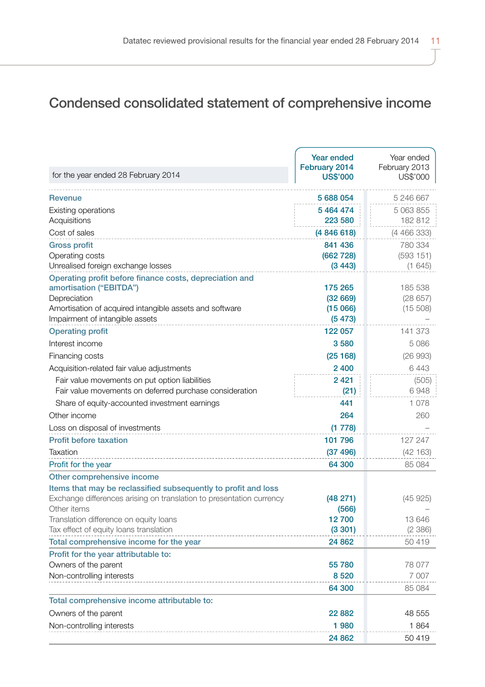# Condensed consolidated statement of comprehensive income

| for the year ended 28 February 2014                                                                                                                           | <b>Year ended</b><br>February 2014<br><b>US\$'000</b> | Year ended<br>February 2013<br>US\$'000 |
|---------------------------------------------------------------------------------------------------------------------------------------------------------------|-------------------------------------------------------|-----------------------------------------|
| Revenue                                                                                                                                                       | 5 688 054                                             | 5 246 667                               |
| Existing operations                                                                                                                                           | 5 464 474                                             | 5 063 855                               |
| Acquisitions                                                                                                                                                  | 223 580                                               | 182812                                  |
| Cost of sales                                                                                                                                                 | (4 846 618)                                           | (4 466 333)                             |
| <b>Gross profit</b>                                                                                                                                           | 841 436                                               | 780 334                                 |
| Operating costs                                                                                                                                               | (662 728)                                             | (593151)                                |
| Unrealised foreign exchange losses                                                                                                                            | (3443)                                                | (1645)                                  |
| Operating profit before finance costs, depreciation and<br>amortisation ("EBITDA")<br>Depreciation<br>Amortisation of acquired intangible assets and software | 175 265<br>(32669)<br>(15066)                         | 185 538<br>(28657)<br>(15, 508)         |
| Impairment of intangible assets                                                                                                                               | (5473)                                                |                                         |
| <b>Operating profit</b>                                                                                                                                       | 122 057                                               | 141 373                                 |
| Interest income                                                                                                                                               | 3580                                                  | 5086                                    |
| Financing costs                                                                                                                                               | (25168)                                               | (26993)                                 |
| Acquisition-related fair value adjustments                                                                                                                    | 2 4 0 0                                               | 6443                                    |
| Fair value movements on put option liabilities<br>Fair value movements on deferred purchase consideration                                                     | 2 4 2 1<br>(21)                                       | (505)<br>6948                           |
| Share of equity-accounted investment earnings                                                                                                                 | 441                                                   | 1.078                                   |
| Other income                                                                                                                                                  | 264                                                   | 260                                     |
| Loss on disposal of investments                                                                                                                               | (1778)                                                |                                         |
| <b>Profit before taxation</b>                                                                                                                                 | 101 796                                               | 127 247                                 |
| Taxation                                                                                                                                                      | (37 496)                                              | (42163)                                 |
| Profit for the year                                                                                                                                           | 64 300                                                | 85 084                                  |
| Other comprehensive income                                                                                                                                    |                                                       |                                         |
| Items that may be reclassified subsequently to profit and loss<br>Exchange differences arising on translation to presentation currency                        | (48 271)                                              | (45925)                                 |
| Other items                                                                                                                                                   | (566)                                                 |                                         |
| Translation difference on equity loans                                                                                                                        | 12700                                                 | 13 646                                  |
| Tax effect of equity loans translation                                                                                                                        | (3301)                                                | (2386)                                  |
| Total comprehensive income for the year                                                                                                                       | 24 862                                                | 50419                                   |
| Profit for the year attributable to:                                                                                                                          |                                                       |                                         |
| Owners of the parent                                                                                                                                          | 55 780                                                | 78 077                                  |
| Non-controlling interests                                                                                                                                     | 8 5 20                                                | 7 0 0 7                                 |
|                                                                                                                                                               | 64 300                                                | 85 084                                  |
| Total comprehensive income attributable to:                                                                                                                   |                                                       |                                         |
| Owners of the parent                                                                                                                                          | 22882                                                 | 48 555                                  |
| Non-controlling interests                                                                                                                                     | 1980                                                  | 1864                                    |
|                                                                                                                                                               | 24 862                                                | 50419                                   |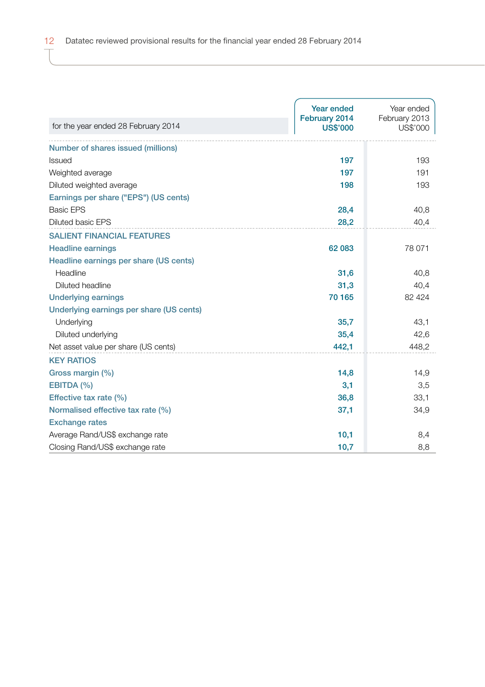|                                          | Year ended<br>February 2014 | Year ended<br>February 2013 |
|------------------------------------------|-----------------------------|-----------------------------|
| for the year ended 28 February 2014      | <b>US\$'000</b>             | US\$'000                    |
| Number of shares issued (millions)       |                             |                             |
| <b>Issued</b>                            | 197                         | 193                         |
| Weighted average                         | 197                         | 191                         |
| Diluted weighted average                 | 198                         | 193                         |
| Earnings per share ("EPS") (US cents)    |                             |                             |
| <b>Basic EPS</b>                         | 28,4                        | 40,8                        |
| <b>Diluted basic EPS</b>                 | 28,2                        | 40,4                        |
| <b>SALIENT FINANCIAL FEATURES</b>        |                             |                             |
| <b>Headline earnings</b>                 | 62 083                      | 78 071                      |
| Headline earnings per share (US cents)   |                             |                             |
| Headline                                 | 31,6                        | 40,8                        |
| Diluted headline                         | 31,3                        | 40,4                        |
| <b>Underlying earnings</b>               | 70 165                      | 82 4 24                     |
| Underlying earnings per share (US cents) |                             |                             |
| Underlying                               | 35,7                        | 43,1                        |
| Diluted underlying                       | 35.4                        | 42,6                        |
| Net asset value per share (US cents)     | 442,1                       | 448,2                       |
| <b>KEY RATIOS</b>                        |                             |                             |
| Gross margin (%)                         | 14,8                        | 14,9                        |
| EBITDA (%)                               | 3,1                         | 3,5                         |
| Effective tax rate (%)                   | 36,8                        | 33,1                        |
| Normalised effective tax rate (%)        | 37,1                        | 34,9                        |
| <b>Exchange rates</b>                    |                             |                             |
| Average Rand/US\$ exchange rate          | 10,1                        | 8,4                         |
| Closing Rand/US\$ exchange rate          | 10,7                        | 8,8                         |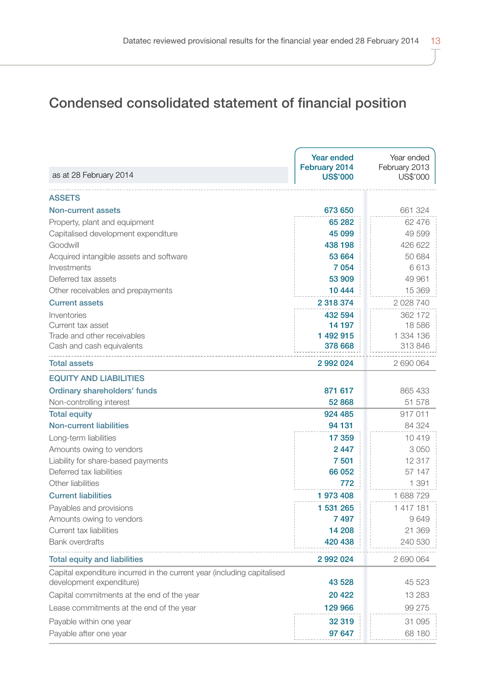# Condensed consolidated statement of financial position

| <b>ASSETS</b><br>Non-current assets<br>673 650<br>661 324<br>65 282<br>62 476<br>Property, plant and equipment<br>45 099<br>49 599<br>Capitalised development expenditure<br>Goodwill<br>438 198<br>426 622<br>Acquired intangible assets and software<br>53 664<br>50 684<br>Investments<br>7 0 5 4<br>6613<br>53 909<br>Deferred tax assets<br>49 961<br>Other receivables and prepayments<br>10 444<br>15 369<br>2 318 374<br>2028740<br><b>Current assets</b><br>Inventories<br>432 594<br>362 172<br>Current tax asset<br>14 197<br>18 586<br>1 492 915<br>1 334 136<br>Trade and other receivables<br>Cash and cash equivalents<br>378 668<br>313846<br><b>Total assets</b><br>2 992 024<br>2690064<br><b>EQUITY AND LIABILITIES</b><br>Ordinary shareholders' funds<br>871 617<br>865 433<br>52 868<br>Non-controlling interest<br>51 578<br><b>Total equity</b><br>924 485<br>917011<br>Non-current liabilities<br>94 131<br>84 324<br>17 359<br>10419<br>Long-term liabilities<br>2 4 4 7<br>Amounts owing to vendors<br>3050<br>7 501<br>12 3 1 7<br>Liability for share-based payments<br>Deferred tax liabilities<br>66 052<br>57 147<br>Other liabilities<br>772<br>1 3 9 1<br><b>Current liabilities</b><br>1 973 408<br>1688729<br>1 531 265<br>Payables and provisions<br>1417181<br>Amounts owing to vendors<br>7497<br>9649<br>Current tax liabilities<br>14 208<br>21 369<br><b>Bank overdrafts</b><br>420 438<br>240 530<br>2992024<br>2690064<br><b>Total equity and liabilities</b><br>Capital expenditure incurred in the current year (including capitalised<br>development expenditure)<br>43 528<br>45 523<br>Capital commitments at the end of the year<br>20 4 22<br>13 2 8 3<br>Lease commitments at the end of the year<br>129 966<br>99 275<br>Payable within one year<br>32 319<br>31 095<br>97 647<br>68 180 | as at 28 February 2014 | <b>Year ended</b><br>February 2014<br><b>US\$'000</b> | Year ended<br>February 2013<br>US\$'000 |
|-----------------------------------------------------------------------------------------------------------------------------------------------------------------------------------------------------------------------------------------------------------------------------------------------------------------------------------------------------------------------------------------------------------------------------------------------------------------------------------------------------------------------------------------------------------------------------------------------------------------------------------------------------------------------------------------------------------------------------------------------------------------------------------------------------------------------------------------------------------------------------------------------------------------------------------------------------------------------------------------------------------------------------------------------------------------------------------------------------------------------------------------------------------------------------------------------------------------------------------------------------------------------------------------------------------------------------------------------------------------------------------------------------------------------------------------------------------------------------------------------------------------------------------------------------------------------------------------------------------------------------------------------------------------------------------------------------------------------------------------------------------------------------------------------------------------------------------------------|------------------------|-------------------------------------------------------|-----------------------------------------|
|                                                                                                                                                                                                                                                                                                                                                                                                                                                                                                                                                                                                                                                                                                                                                                                                                                                                                                                                                                                                                                                                                                                                                                                                                                                                                                                                                                                                                                                                                                                                                                                                                                                                                                                                                                                                                                               |                        |                                                       |                                         |
|                                                                                                                                                                                                                                                                                                                                                                                                                                                                                                                                                                                                                                                                                                                                                                                                                                                                                                                                                                                                                                                                                                                                                                                                                                                                                                                                                                                                                                                                                                                                                                                                                                                                                                                                                                                                                                               |                        |                                                       |                                         |
|                                                                                                                                                                                                                                                                                                                                                                                                                                                                                                                                                                                                                                                                                                                                                                                                                                                                                                                                                                                                                                                                                                                                                                                                                                                                                                                                                                                                                                                                                                                                                                                                                                                                                                                                                                                                                                               |                        |                                                       |                                         |
|                                                                                                                                                                                                                                                                                                                                                                                                                                                                                                                                                                                                                                                                                                                                                                                                                                                                                                                                                                                                                                                                                                                                                                                                                                                                                                                                                                                                                                                                                                                                                                                                                                                                                                                                                                                                                                               |                        |                                                       |                                         |
|                                                                                                                                                                                                                                                                                                                                                                                                                                                                                                                                                                                                                                                                                                                                                                                                                                                                                                                                                                                                                                                                                                                                                                                                                                                                                                                                                                                                                                                                                                                                                                                                                                                                                                                                                                                                                                               |                        |                                                       |                                         |
|                                                                                                                                                                                                                                                                                                                                                                                                                                                                                                                                                                                                                                                                                                                                                                                                                                                                                                                                                                                                                                                                                                                                                                                                                                                                                                                                                                                                                                                                                                                                                                                                                                                                                                                                                                                                                                               |                        |                                                       |                                         |
|                                                                                                                                                                                                                                                                                                                                                                                                                                                                                                                                                                                                                                                                                                                                                                                                                                                                                                                                                                                                                                                                                                                                                                                                                                                                                                                                                                                                                                                                                                                                                                                                                                                                                                                                                                                                                                               |                        |                                                       |                                         |
|                                                                                                                                                                                                                                                                                                                                                                                                                                                                                                                                                                                                                                                                                                                                                                                                                                                                                                                                                                                                                                                                                                                                                                                                                                                                                                                                                                                                                                                                                                                                                                                                                                                                                                                                                                                                                                               |                        |                                                       |                                         |
|                                                                                                                                                                                                                                                                                                                                                                                                                                                                                                                                                                                                                                                                                                                                                                                                                                                                                                                                                                                                                                                                                                                                                                                                                                                                                                                                                                                                                                                                                                                                                                                                                                                                                                                                                                                                                                               |                        |                                                       |                                         |
|                                                                                                                                                                                                                                                                                                                                                                                                                                                                                                                                                                                                                                                                                                                                                                                                                                                                                                                                                                                                                                                                                                                                                                                                                                                                                                                                                                                                                                                                                                                                                                                                                                                                                                                                                                                                                                               |                        |                                                       |                                         |
|                                                                                                                                                                                                                                                                                                                                                                                                                                                                                                                                                                                                                                                                                                                                                                                                                                                                                                                                                                                                                                                                                                                                                                                                                                                                                                                                                                                                                                                                                                                                                                                                                                                                                                                                                                                                                                               |                        |                                                       |                                         |
|                                                                                                                                                                                                                                                                                                                                                                                                                                                                                                                                                                                                                                                                                                                                                                                                                                                                                                                                                                                                                                                                                                                                                                                                                                                                                                                                                                                                                                                                                                                                                                                                                                                                                                                                                                                                                                               |                        |                                                       |                                         |
|                                                                                                                                                                                                                                                                                                                                                                                                                                                                                                                                                                                                                                                                                                                                                                                                                                                                                                                                                                                                                                                                                                                                                                                                                                                                                                                                                                                                                                                                                                                                                                                                                                                                                                                                                                                                                                               |                        |                                                       |                                         |
|                                                                                                                                                                                                                                                                                                                                                                                                                                                                                                                                                                                                                                                                                                                                                                                                                                                                                                                                                                                                                                                                                                                                                                                                                                                                                                                                                                                                                                                                                                                                                                                                                                                                                                                                                                                                                                               |                        |                                                       |                                         |
|                                                                                                                                                                                                                                                                                                                                                                                                                                                                                                                                                                                                                                                                                                                                                                                                                                                                                                                                                                                                                                                                                                                                                                                                                                                                                                                                                                                                                                                                                                                                                                                                                                                                                                                                                                                                                                               |                        |                                                       |                                         |
|                                                                                                                                                                                                                                                                                                                                                                                                                                                                                                                                                                                                                                                                                                                                                                                                                                                                                                                                                                                                                                                                                                                                                                                                                                                                                                                                                                                                                                                                                                                                                                                                                                                                                                                                                                                                                                               |                        |                                                       |                                         |
|                                                                                                                                                                                                                                                                                                                                                                                                                                                                                                                                                                                                                                                                                                                                                                                                                                                                                                                                                                                                                                                                                                                                                                                                                                                                                                                                                                                                                                                                                                                                                                                                                                                                                                                                                                                                                                               |                        |                                                       |                                         |
|                                                                                                                                                                                                                                                                                                                                                                                                                                                                                                                                                                                                                                                                                                                                                                                                                                                                                                                                                                                                                                                                                                                                                                                                                                                                                                                                                                                                                                                                                                                                                                                                                                                                                                                                                                                                                                               |                        |                                                       |                                         |
|                                                                                                                                                                                                                                                                                                                                                                                                                                                                                                                                                                                                                                                                                                                                                                                                                                                                                                                                                                                                                                                                                                                                                                                                                                                                                                                                                                                                                                                                                                                                                                                                                                                                                                                                                                                                                                               |                        |                                                       |                                         |
|                                                                                                                                                                                                                                                                                                                                                                                                                                                                                                                                                                                                                                                                                                                                                                                                                                                                                                                                                                                                                                                                                                                                                                                                                                                                                                                                                                                                                                                                                                                                                                                                                                                                                                                                                                                                                                               |                        |                                                       |                                         |
|                                                                                                                                                                                                                                                                                                                                                                                                                                                                                                                                                                                                                                                                                                                                                                                                                                                                                                                                                                                                                                                                                                                                                                                                                                                                                                                                                                                                                                                                                                                                                                                                                                                                                                                                                                                                                                               |                        |                                                       |                                         |
|                                                                                                                                                                                                                                                                                                                                                                                                                                                                                                                                                                                                                                                                                                                                                                                                                                                                                                                                                                                                                                                                                                                                                                                                                                                                                                                                                                                                                                                                                                                                                                                                                                                                                                                                                                                                                                               |                        |                                                       |                                         |
|                                                                                                                                                                                                                                                                                                                                                                                                                                                                                                                                                                                                                                                                                                                                                                                                                                                                                                                                                                                                                                                                                                                                                                                                                                                                                                                                                                                                                                                                                                                                                                                                                                                                                                                                                                                                                                               |                        |                                                       |                                         |
|                                                                                                                                                                                                                                                                                                                                                                                                                                                                                                                                                                                                                                                                                                                                                                                                                                                                                                                                                                                                                                                                                                                                                                                                                                                                                                                                                                                                                                                                                                                                                                                                                                                                                                                                                                                                                                               |                        |                                                       |                                         |
|                                                                                                                                                                                                                                                                                                                                                                                                                                                                                                                                                                                                                                                                                                                                                                                                                                                                                                                                                                                                                                                                                                                                                                                                                                                                                                                                                                                                                                                                                                                                                                                                                                                                                                                                                                                                                                               |                        |                                                       |                                         |
|                                                                                                                                                                                                                                                                                                                                                                                                                                                                                                                                                                                                                                                                                                                                                                                                                                                                                                                                                                                                                                                                                                                                                                                                                                                                                                                                                                                                                                                                                                                                                                                                                                                                                                                                                                                                                                               |                        |                                                       |                                         |
|                                                                                                                                                                                                                                                                                                                                                                                                                                                                                                                                                                                                                                                                                                                                                                                                                                                                                                                                                                                                                                                                                                                                                                                                                                                                                                                                                                                                                                                                                                                                                                                                                                                                                                                                                                                                                                               |                        |                                                       |                                         |
|                                                                                                                                                                                                                                                                                                                                                                                                                                                                                                                                                                                                                                                                                                                                                                                                                                                                                                                                                                                                                                                                                                                                                                                                                                                                                                                                                                                                                                                                                                                                                                                                                                                                                                                                                                                                                                               |                        |                                                       |                                         |
|                                                                                                                                                                                                                                                                                                                                                                                                                                                                                                                                                                                                                                                                                                                                                                                                                                                                                                                                                                                                                                                                                                                                                                                                                                                                                                                                                                                                                                                                                                                                                                                                                                                                                                                                                                                                                                               |                        |                                                       |                                         |
|                                                                                                                                                                                                                                                                                                                                                                                                                                                                                                                                                                                                                                                                                                                                                                                                                                                                                                                                                                                                                                                                                                                                                                                                                                                                                                                                                                                                                                                                                                                                                                                                                                                                                                                                                                                                                                               |                        |                                                       |                                         |
|                                                                                                                                                                                                                                                                                                                                                                                                                                                                                                                                                                                                                                                                                                                                                                                                                                                                                                                                                                                                                                                                                                                                                                                                                                                                                                                                                                                                                                                                                                                                                                                                                                                                                                                                                                                                                                               |                        |                                                       |                                         |
|                                                                                                                                                                                                                                                                                                                                                                                                                                                                                                                                                                                                                                                                                                                                                                                                                                                                                                                                                                                                                                                                                                                                                                                                                                                                                                                                                                                                                                                                                                                                                                                                                                                                                                                                                                                                                                               |                        |                                                       |                                         |
|                                                                                                                                                                                                                                                                                                                                                                                                                                                                                                                                                                                                                                                                                                                                                                                                                                                                                                                                                                                                                                                                                                                                                                                                                                                                                                                                                                                                                                                                                                                                                                                                                                                                                                                                                                                                                                               |                        |                                                       |                                         |
|                                                                                                                                                                                                                                                                                                                                                                                                                                                                                                                                                                                                                                                                                                                                                                                                                                                                                                                                                                                                                                                                                                                                                                                                                                                                                                                                                                                                                                                                                                                                                                                                                                                                                                                                                                                                                                               |                        |                                                       |                                         |
|                                                                                                                                                                                                                                                                                                                                                                                                                                                                                                                                                                                                                                                                                                                                                                                                                                                                                                                                                                                                                                                                                                                                                                                                                                                                                                                                                                                                                                                                                                                                                                                                                                                                                                                                                                                                                                               |                        |                                                       |                                         |
|                                                                                                                                                                                                                                                                                                                                                                                                                                                                                                                                                                                                                                                                                                                                                                                                                                                                                                                                                                                                                                                                                                                                                                                                                                                                                                                                                                                                                                                                                                                                                                                                                                                                                                                                                                                                                                               | Payable after one year |                                                       |                                         |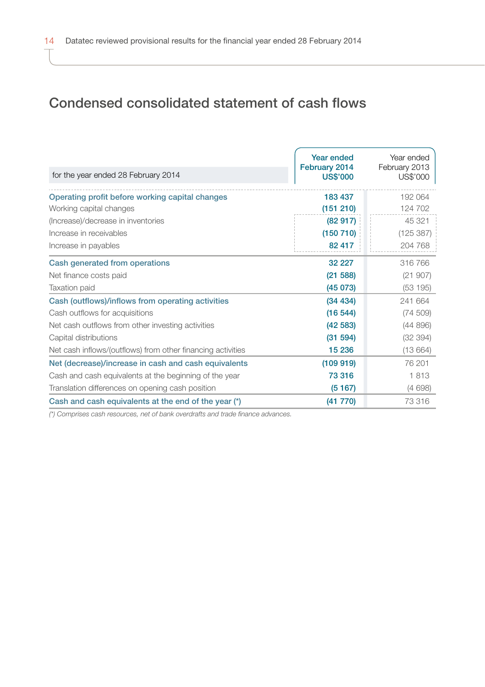# Condensed consolidated statement of cash flows

| for the year ended 28 February 2014                         | Year ended<br>February 2014<br><b>US\$'000</b> | Year ended<br>February 2013<br>US\$'000 |
|-------------------------------------------------------------|------------------------------------------------|-----------------------------------------|
| Operating profit before working capital changes             | 183 437                                        | 192 064                                 |
| Working capital changes                                     | (151 210)                                      | 124 702                                 |
| (Increase)/decrease in inventories                          | (82917)                                        | 45 321                                  |
| Increase in receivables                                     | (150 710)                                      | (125 387)                               |
| Increase in payables                                        | 82 417                                         | 204 768                                 |
| Cash generated from operations                              | 32 227                                         | 316766                                  |
| Net finance costs paid                                      | (21 588)                                       | (21907)                                 |
| Taxation paid                                               | (45073)                                        | (53195)                                 |
| Cash (outflows)/inflows from operating activities           | (34 434)                                       | 241 664                                 |
| Cash outflows for acquisitions                              | (16544)                                        | (74509)                                 |
| Net cash outflows from other investing activities           | (42583)                                        | (44896)                                 |
| Capital distributions                                       | (31 594)                                       | (32 394)                                |
| Net cash inflows/(outflows) from other financing activities | 15 236                                         | (13664)                                 |
| Net (decrease)/increase in cash and cash equivalents        | (109919)                                       | 76 201                                  |
| Cash and cash equivalents at the beginning of the year      | 73 316                                         | 1813                                    |
| Translation differences on opening cash position            | (5167)                                         | (4698)                                  |
| Cash and cash equivalents at the end of the year (*)        | (41 770)                                       | 73316                                   |

*(\*) Comprises cash resources, net of bank overdrafts and trade finance advances.*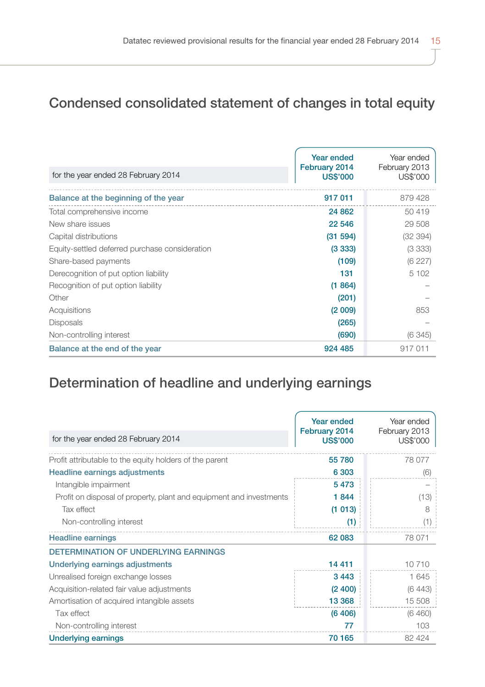# Condensed consolidated statement of changes in total equity

| for the year ended 28 February 2014            | Year ended<br>February 2014<br><b>US\$'000</b> | Year ended<br>February 2013<br>US\$'000 |
|------------------------------------------------|------------------------------------------------|-----------------------------------------|
| Balance at the beginning of the year           | 917 011                                        | 879 428                                 |
| Total comprehensive income                     | 24 862                                         | 50419                                   |
| New share issues                               | 22 546                                         | 29 508                                  |
| Capital distributions                          | (31 594)                                       | (32394)                                 |
| Equity-settled deferred purchase consideration | (3333)                                         | (3333)                                  |
| Share-based payments                           | (109)                                          | (6227)                                  |
| Derecognition of put option liability          | 131                                            | 5 1 0 2                                 |
| Recognition of put option liability            | (1864)                                         |                                         |
| Other                                          | (201)                                          |                                         |
| Acquisitions                                   | (2 009)                                        | 853                                     |
| <b>Disposals</b>                               | (265)                                          |                                         |
| Non-controlling interest                       | (690)                                          | (6345)                                  |
| Balance at the end of the year                 | 924 485                                        | 917011                                  |

# Determination of headline and underlying earnings

| for the year ended 28 February 2014                                 | Year ended<br>February 2014<br><b>US\$'000</b> | Year ended<br>February 2013<br>US\$'000 |
|---------------------------------------------------------------------|------------------------------------------------|-----------------------------------------|
|                                                                     |                                                |                                         |
| Profit attributable to the equity holders of the parent             | 55 780                                         | 78 0 77                                 |
| Headline earnings adjustments                                       | 6 3 0 3                                        | (6)                                     |
| Intangible impairment                                               | 5473                                           |                                         |
| Profit on disposal of property, plant and equipment and investments | 1844                                           | (13)                                    |
| Tax effect                                                          | (1013)                                         | 8                                       |
| Non-controlling interest                                            | (1)                                            | (1)                                     |
| <b>Headline earnings</b>                                            | 62 083                                         | 78 071                                  |
| <b>DETERMINATION OF UNDERLYING EARNINGS</b>                         |                                                |                                         |
| Underlying earnings adjustments                                     | 14 4 11                                        | 10710                                   |
| Unrealised foreign exchange losses                                  | 3443                                           | 1645                                    |
| Acquisition-related fair value adjustments                          | (2, 400)                                       | (6443)                                  |
| Amortisation of acquired intangible assets                          | 13 3 68                                        | 15 508                                  |
| Tax effect                                                          | (6406)                                         | (6460)                                  |
| Non-controlling interest                                            | 77                                             | 103                                     |
| <b>Underlying earnings</b>                                          | 70 165                                         | 82 4 24                                 |